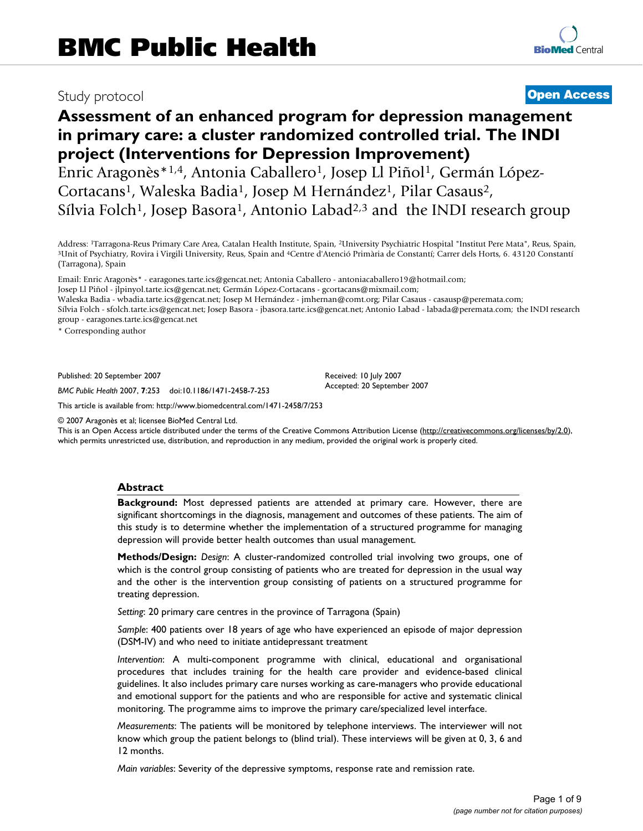## Study protocol **[Open Access](http://www.biomedcentral.com/info/about/charter/)**

# **Assessment of an enhanced program for depression management in primary care: a cluster randomized controlled trial. The INDI project (Interventions for Depression Improvement)**

Enric Aragonès<sup>\*1,4</sup>, Antonia Caballero<sup>1</sup>, Josep Ll Piñol<sup>1</sup>, Germán López-Cortacans<sup>1</sup>, Waleska Badia<sup>1</sup>, Josep M Hernández<sup>1</sup>, Pilar Casaus<sup>2</sup>, Sílvia Folch<sup>1</sup>, Josep Basora<sup>1</sup>, Antonio Labad<sup>2,3</sup> and the INDI research group

Address: <sup>1</sup>Tarragona-Reus Primary Care Area, Catalan Health Institute, Spain, <sup>2</sup>University Psychiatric Hospital "Institut Pere Mata", Reus, Spain, <sup>3</sup>Unit of Psychiatry, Rovira i Virgili University, Reus, Spain and <sup>4</sup>Ce (Tarragona), Spain

Email: Enric Aragonès\* - earagones.tarte.ics@gencat.net; Antonia Caballero - antoniacaballero19@hotmail.com;

Josep Ll Piñol - jlpinyol.tarte.ics@gencat.net; Germán López-Cortacans - gcortacans@mixmail.com;

Waleska Badia - wbadia.tarte.ics@gencat.net; Josep M Hernández - jmhernan@comt.org; Pilar Casaus - casausp@peremata.com;

Sílvia Folch - sfolch.tarte.ics@gencat.net; Josep Basora - jbasora.tarte.ics@gencat.net; Antonio Labad - labada@peremata.com; the INDI research group - earagones.tarte.ics@gencat.net

> Received: 10 July 2007 Accepted: 20 September 2007

\* Corresponding author

Published: 20 September 2007

*BMC Public Health* 2007, **7**:253 doi:10.1186/1471-2458-7-253

[This article is available from: http://www.biomedcentral.com/1471-2458/7/253](http://www.biomedcentral.com/1471-2458/7/253)

© 2007 Aragonès et al; licensee BioMed Central Ltd.

This is an Open Access article distributed under the terms of the Creative Commons Attribution License [\(http://creativecommons.org/licenses/by/2.0\)](http://creativecommons.org/licenses/by/2.0), which permits unrestricted use, distribution, and reproduction in any medium, provided the original work is properly cited.

#### **Abstract**

**Background:** Most depressed patients are attended at primary care. However, there are significant shortcomings in the diagnosis, management and outcomes of these patients. The aim of this study is to determine whether the implementation of a structured programme for managing depression will provide better health outcomes than usual management.

**Methods/Design:** *Design*: A cluster-randomized controlled trial involving two groups, one of which is the control group consisting of patients who are treated for depression in the usual way and the other is the intervention group consisting of patients on a structured programme for treating depression.

*Setting*: 20 primary care centres in the province of Tarragona (Spain)

*Sample*: 400 patients over 18 years of age who have experienced an episode of major depression (DSM-IV) and who need to initiate antidepressant treatment

*Intervention*: A multi-component programme with clinical, educational and organisational procedures that includes training for the health care provider and evidence-based clinical guidelines. It also includes primary care nurses working as care-managers who provide educational and emotional support for the patients and who are responsible for active and systematic clinical monitoring. The programme aims to improve the primary care/specialized level interface.

*Measurements*: The patients will be monitored by telephone interviews. The interviewer will not know which group the patient belongs to (blind trial). These interviews will be given at 0, 3, 6 and 12 months.

*Main variables*: Severity of the depressive symptoms, response rate and remission rate.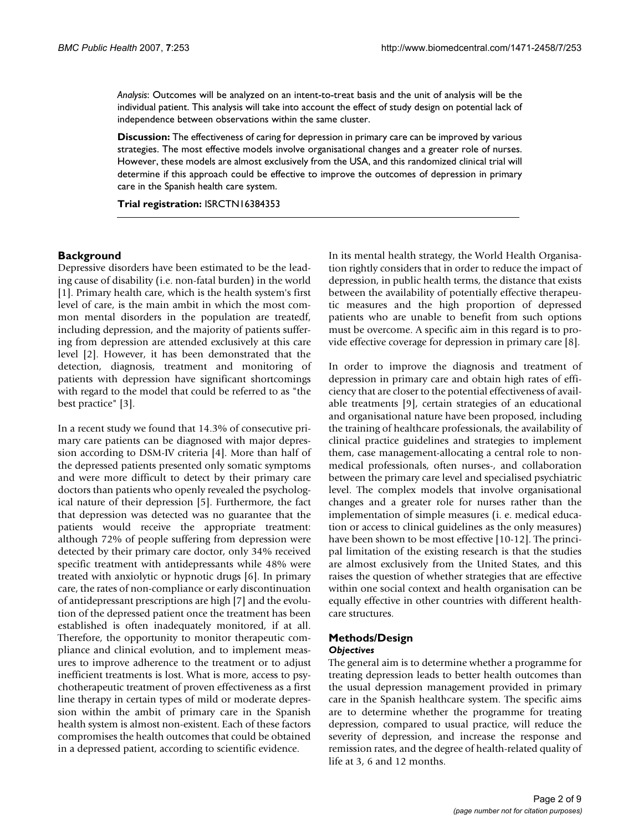*Analysis*: Outcomes will be analyzed on an intent-to-treat basis and the unit of analysis will be the individual patient. This analysis will take into account the effect of study design on potential lack of independence between observations within the same cluster.

**Discussion:** The effectiveness of caring for depression in primary care can be improved by various strategies. The most effective models involve organisational changes and a greater role of nurses. However, these models are almost exclusively from the USA, and this randomized clinical trial will determine if this approach could be effective to improve the outcomes of depression in primary care in the Spanish health care system.

**Trial registration:** ISRCTN16384353

#### **Background**

Depressive disorders have been estimated to be the leading cause of disability (i.e. non-fatal burden) in the world [1]. Primary health care, which is the health system's first level of care, is the main ambit in which the most common mental disorders in the population are treatedf, including depression, and the majority of patients suffering from depression are attended exclusively at this care level [2]. However, it has been demonstrated that the detection, diagnosis, treatment and monitoring of patients with depression have significant shortcomings with regard to the model that could be referred to as "the best practice" [3].

In a recent study we found that 14.3% of consecutive primary care patients can be diagnosed with major depression according to DSM-IV criteria [4]. More than half of the depressed patients presented only somatic symptoms and were more difficult to detect by their primary care doctors than patients who openly revealed the psychological nature of their depression [5]. Furthermore, the fact that depression was detected was no guarantee that the patients would receive the appropriate treatment: although 72% of people suffering from depression were detected by their primary care doctor, only 34% received specific treatment with antidepressants while 48% were treated with anxiolytic or hypnotic drugs [6]. In primary care, the rates of non-compliance or early discontinuation of antidepressant prescriptions are high [7] and the evolution of the depressed patient once the treatment has been established is often inadequately monitored, if at all. Therefore, the opportunity to monitor therapeutic compliance and clinical evolution, and to implement measures to improve adherence to the treatment or to adjust inefficient treatments is lost. What is more, access to psychotherapeutic treatment of proven effectiveness as a first line therapy in certain types of mild or moderate depression within the ambit of primary care in the Spanish health system is almost non-existent. Each of these factors compromises the health outcomes that could be obtained in a depressed patient, according to scientific evidence.

In its mental health strategy, the World Health Organisation rightly considers that in order to reduce the impact of depression, in public health terms, the distance that exists between the availability of potentially effective therapeutic measures and the high proportion of depressed patients who are unable to benefit from such options must be overcome. A specific aim in this regard is to provide effective coverage for depression in primary care [8].

In order to improve the diagnosis and treatment of depression in primary care and obtain high rates of efficiency that are closer to the potential effectiveness of available treatments [9], certain strategies of an educational and organisational nature have been proposed, including the training of healthcare professionals, the availability of clinical practice guidelines and strategies to implement them, case management-allocating a central role to nonmedical professionals, often nurses-, and collaboration between the primary care level and specialised psychiatric level. The complex models that involve organisational changes and a greater role for nurses rather than the implementation of simple measures (i. e. medical education or access to clinical guidelines as the only measures) have been shown to be most effective [10-12]. The principal limitation of the existing research is that the studies are almost exclusively from the United States, and this raises the question of whether strategies that are effective within one social context and health organisation can be equally effective in other countries with different healthcare structures.

#### **Methods/Design** *Objectives*

The general aim is to determine whether a programme for treating depression leads to better health outcomes than the usual depression management provided in primary care in the Spanish healthcare system. The specific aims are to determine whether the programme for treating depression, compared to usual practice, will reduce the severity of depression, and increase the response and remission rates, and the degree of health-related quality of life at 3, 6 and 12 months.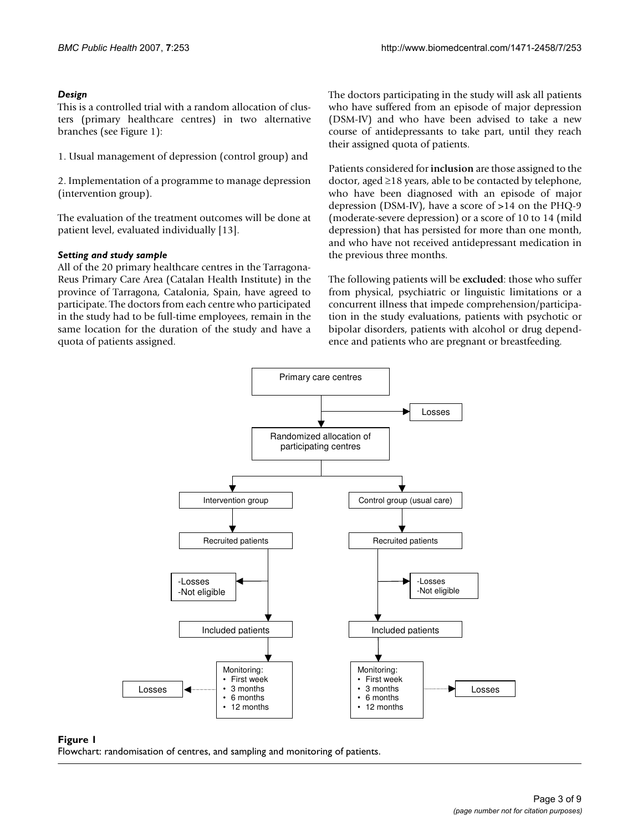#### *Design*

This is a controlled trial with a random allocation of clusters (primary healthcare centres) in two alternative branches (see Figure 1):

1. Usual management of depression (control group) and

2. Implementation of a programme to manage depression (intervention group).

The evaluation of the treatment outcomes will be done at patient level, evaluated individually [13].

#### *Setting and study sample*

All of the 20 primary healthcare centres in the Tarragona-Reus Primary Care Area (Catalan Health Institute) in the province of Tarragona, Catalonia, Spain, have agreed to participate. The doctors from each centre who participated in the study had to be full-time employees, remain in the same location for the duration of the study and have a quota of patients assigned.

The doctors participating in the study will ask all patients who have suffered from an episode of major depression (DSM-IV) and who have been advised to take a new course of antidepressants to take part, until they reach their assigned quota of patients.

Patients considered for **inclusion** are those assigned to the doctor, aged ≥18 years, able to be contacted by telephone, who have been diagnosed with an episode of major depression (DSM-IV), have a score of >14 on the PHQ-9 (moderate-severe depression) or a score of 10 to 14 (mild depression) that has persisted for more than one month, and who have not received antidepressant medication in the previous three months.

The following patients will be **excluded**: those who suffer from physical, psychiatric or linguistic limitations or a concurrent illness that impede comprehension/participation in the study evaluations, patients with psychotic or bipolar disorders, patients with alcohol or drug dependence and patients who are pregnant or breastfeeding.



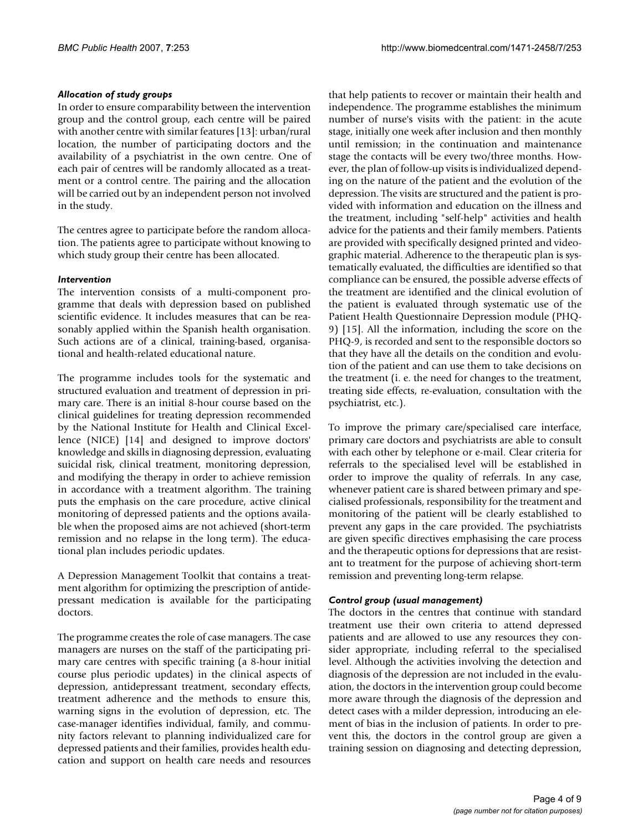#### *Allocation of study groups*

In order to ensure comparability between the intervention group and the control group, each centre will be paired with another centre with similar features [13]: urban/rural location, the number of participating doctors and the availability of a psychiatrist in the own centre. One of each pair of centres will be randomly allocated as a treatment or a control centre. The pairing and the allocation will be carried out by an independent person not involved in the study.

The centres agree to participate before the random allocation. The patients agree to participate without knowing to which study group their centre has been allocated.

#### *Intervention*

The intervention consists of a multi-component programme that deals with depression based on published scientific evidence. It includes measures that can be reasonably applied within the Spanish health organisation. Such actions are of a clinical, training-based, organisational and health-related educational nature.

The programme includes tools for the systematic and structured evaluation and treatment of depression in primary care. There is an initial 8-hour course based on the clinical guidelines for treating depression recommended by the National Institute for Health and Clinical Excellence (NICE) [14] and designed to improve doctors' knowledge and skills in diagnosing depression, evaluating suicidal risk, clinical treatment, monitoring depression, and modifying the therapy in order to achieve remission in accordance with a treatment algorithm. The training puts the emphasis on the care procedure, active clinical monitoring of depressed patients and the options available when the proposed aims are not achieved (short-term remission and no relapse in the long term). The educational plan includes periodic updates.

A Depression Management Toolkit that contains a treatment algorithm for optimizing the prescription of antidepressant medication is available for the participating doctors.

The programme creates the role of case managers. The case managers are nurses on the staff of the participating primary care centres with specific training (a 8-hour initial course plus periodic updates) in the clinical aspects of depression, antidepressant treatment, secondary effects, treatment adherence and the methods to ensure this, warning signs in the evolution of depression, etc. The case-manager identifies individual, family, and community factors relevant to planning individualized care for depressed patients and their families, provides health education and support on health care needs and resources

that help patients to recover or maintain their health and independence. The programme establishes the minimum number of nurse's visits with the patient: in the acute stage, initially one week after inclusion and then monthly until remission; in the continuation and maintenance stage the contacts will be every two/three months. However, the plan of follow-up visits is individualized depending on the nature of the patient and the evolution of the depression. The visits are structured and the patient is provided with information and education on the illness and the treatment, including "self-help" activities and health advice for the patients and their family members. Patients are provided with specifically designed printed and videographic material. Adherence to the therapeutic plan is systematically evaluated, the difficulties are identified so that compliance can be ensured, the possible adverse effects of the treatment are identified and the clinical evolution of the patient is evaluated through systematic use of the Patient Health Questionnaire Depression module (PHQ-9) [15]. All the information, including the score on the PHQ-9, is recorded and sent to the responsible doctors so that they have all the details on the condition and evolution of the patient and can use them to take decisions on the treatment (i. e. the need for changes to the treatment, treating side effects, re-evaluation, consultation with the psychiatrist, etc.).

To improve the primary care/specialised care interface, primary care doctors and psychiatrists are able to consult with each other by telephone or e-mail. Clear criteria for referrals to the specialised level will be established in order to improve the quality of referrals. In any case, whenever patient care is shared between primary and specialised professionals, responsibility for the treatment and monitoring of the patient will be clearly established to prevent any gaps in the care provided. The psychiatrists are given specific directives emphasising the care process and the therapeutic options for depressions that are resistant to treatment for the purpose of achieving short-term remission and preventing long-term relapse.

#### *Control group (usual management)*

The doctors in the centres that continue with standard treatment use their own criteria to attend depressed patients and are allowed to use any resources they consider appropriate, including referral to the specialised level. Although the activities involving the detection and diagnosis of the depression are not included in the evaluation, the doctors in the intervention group could become more aware through the diagnosis of the depression and detect cases with a milder depression, introducing an element of bias in the inclusion of patients. In order to prevent this, the doctors in the control group are given a training session on diagnosing and detecting depression,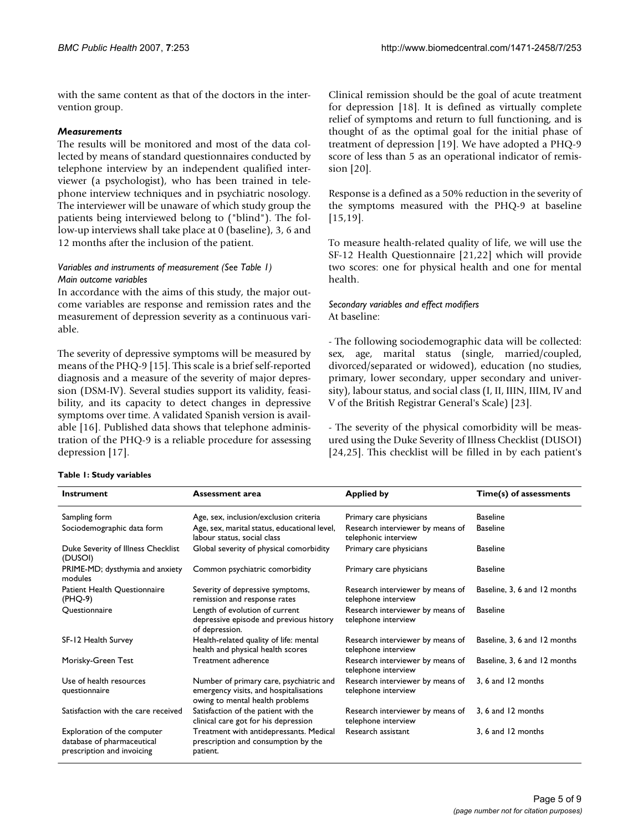with the same content as that of the doctors in the intervention group.

#### *Measurements*

The results will be monitored and most of the data collected by means of standard questionnaires conducted by telephone interview by an independent qualified interviewer (a psychologist), who has been trained in telephone interview techniques and in psychiatric nosology. The interviewer will be unaware of which study group the patients being interviewed belong to ("blind"). The follow-up interviews shall take place at 0 (baseline), 3, 6 and 12 months after the inclusion of the patient.

#### *Variables and instruments of measurement (See Table 1) Main outcome variables*

In accordance with the aims of this study, the major outcome variables are response and remission rates and the measurement of depression severity as a continuous variable.

The severity of depressive symptoms will be measured by means of the PHQ-9 [15]. This scale is a brief self-reported diagnosis and a measure of the severity of major depression (DSM-IV). Several studies support its validity, feasibility, and its capacity to detect changes in depressive symptoms over time. A validated Spanish version is available [16]. Published data shows that telephone administration of the PHQ-9 is a reliable procedure for assessing depression [17].

Clinical remission should be the goal of acute treatment for depression [18]. It is defined as virtually complete relief of symptoms and return to full functioning, and is thought of as the optimal goal for the initial phase of treatment of depression [19]. We have adopted a PHQ-9 score of less than 5 as an operational indicator of remission [20].

Response is a defined as a 50% reduction in the severity of the symptoms measured with the PHQ-9 at baseline [15,19].

To measure health-related quality of life, we will use the SF-12 Health Questionnaire [21,22] which will provide two scores: one for physical health and one for mental health.

#### *Secondary variables and effect modifiers* At baseline:

- The following sociodemographic data will be collected: sex, age, marital status (single, married/coupled, divorced/separated or widowed), education (no studies, primary, lower secondary, upper secondary and university), labour status, and social class (I, II, IIIN, IIIM, IV and V of the British Registrar General's Scale) [23].

- The severity of the physical comorbidity will be measured using the Duke Severity of Illness Checklist (DUSOI) [24,25]. This checklist will be filled in by each patient's

| Instrument                                                                              | <b>Assessment area</b>                                                                                               | <b>Applied by</b>                                        | Time(s) of assessments       |
|-----------------------------------------------------------------------------------------|----------------------------------------------------------------------------------------------------------------------|----------------------------------------------------------|------------------------------|
| Sampling form                                                                           | Age, sex, inclusion/exclusion criteria                                                                               | Primary care physicians                                  | <b>Baseline</b>              |
| Sociodemographic data form                                                              | Age, sex, marital status, educational level,<br>labour status, social class                                          | Research interviewer by means of<br>telephonic interview | <b>Baseline</b>              |
| Duke Severity of Illness Checklist<br>(DUSOI)                                           | Global severity of physical comorbidity                                                                              | Primary care physicians                                  | <b>Baseline</b>              |
| PRIME-MD; dysthymia and anxiety<br>modules                                              | Common psychiatric comorbidity                                                                                       | Primary care physicians                                  | <b>Baseline</b>              |
| <b>Patient Health Ouestionnaire</b><br>(PHQ-9)                                          | Severity of depressive symptoms,<br>remission and response rates                                                     | Research interviewer by means of<br>telephone interview  | Baseline, 3, 6 and 12 months |
| Questionnaire                                                                           | Length of evolution of current<br>depressive episode and previous history<br>of depression.                          | Research interviewer by means of<br>telephone interview  | <b>Baseline</b>              |
| SF-12 Health Survey                                                                     | Health-related quality of life: mental<br>health and physical health scores                                          | Research interviewer by means of<br>telephone interview  | Baseline, 3, 6 and 12 months |
| Morisky-Green Test                                                                      | Treatment adherence                                                                                                  | Research interviewer by means of<br>telephone interview  | Baseline, 3, 6 and 12 months |
| Use of health resources<br>questionnaire                                                | Number of primary care, psychiatric and<br>emergency visits, and hospitalisations<br>owing to mental health problems | Research interviewer by means of<br>telephone interview  | 3, 6 and 12 months           |
| Satisfaction with the care received                                                     | Satisfaction of the patient with the<br>clinical care got for his depression                                         | Research interviewer by means of<br>telephone interview  | 3, 6 and 12 months           |
| Exploration of the computer<br>database of pharmaceutical<br>prescription and invoicing | Treatment with antidepressants. Medical<br>prescription and consumption by the<br>patient.                           | Research assistant                                       | 3.6 and 12 months            |

#### **Table 1: Study variables**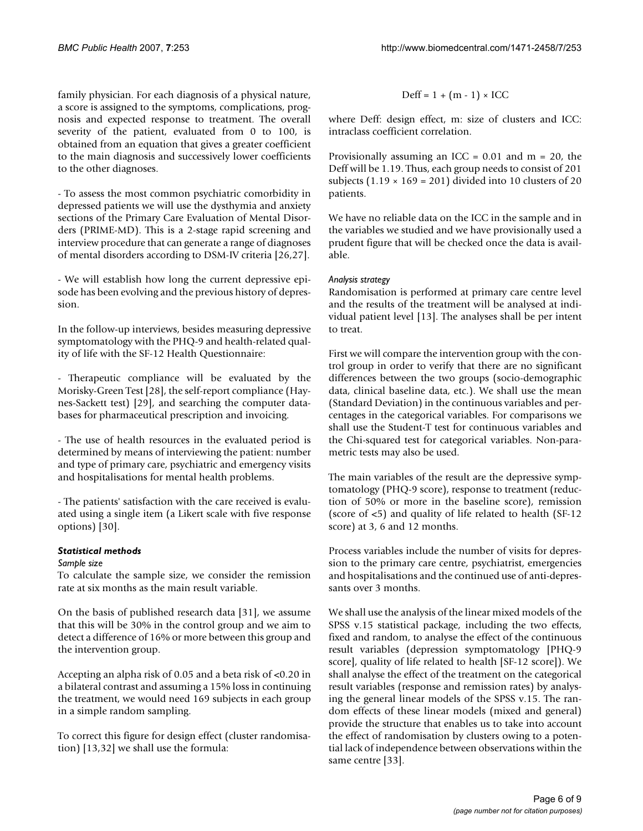family physician. For each diagnosis of a physical nature, a score is assigned to the symptoms, complications, prognosis and expected response to treatment. The overall severity of the patient, evaluated from 0 to 100, is obtained from an equation that gives a greater coefficient to the main diagnosis and successively lower coefficients to the other diagnoses.

- To assess the most common psychiatric comorbidity in depressed patients we will use the dysthymia and anxiety sections of the Primary Care Evaluation of Mental Disorders (PRIME-MD). This is a 2-stage rapid screening and interview procedure that can generate a range of diagnoses of mental disorders according to DSM-IV criteria [26,27].

- We will establish how long the current depressive episode has been evolving and the previous history of depression.

In the follow-up interviews, besides measuring depressive symptomatology with the PHQ-9 and health-related quality of life with the SF-12 Health Questionnaire:

- Therapeutic compliance will be evaluated by the Morisky-Green Test [28], the self-report compliance (Haynes-Sackett test) [29], and searching the computer databases for pharmaceutical prescription and invoicing.

- The use of health resources in the evaluated period is determined by means of interviewing the patient: number and type of primary care, psychiatric and emergency visits and hospitalisations for mental health problems.

- The patients' satisfaction with the care received is evaluated using a single item (a Likert scale with five response options) [30].

#### *Statistical methods*

#### *Sample size*

To calculate the sample size, we consider the remission rate at six months as the main result variable.

On the basis of published research data [31], we assume that this will be 30% in the control group and we aim to detect a difference of 16% or more between this group and the intervention group.

Accepting an alpha risk of 0.05 and a beta risk of <0.20 in a bilateral contrast and assuming a 15% loss in continuing the treatment, we would need 169 subjects in each group in a simple random sampling.

To correct this figure for design effect (cluster randomisation) [13,32] we shall use the formula:

### $Deff = 1 + (m - 1) \times ICC$

where Deff: design effect, m: size of clusters and ICC: intraclass coefficient correlation.

Provisionally assuming an ICC =  $0.01$  and m =  $20$ , the Deff will be 1.19. Thus, each group needs to consist of 201 subjects  $(1.19 \times 169 = 201)$  divided into 10 clusters of 20 patients.

We have no reliable data on the ICC in the sample and in the variables we studied and we have provisionally used a prudent figure that will be checked once the data is available.

#### *Analysis strategy*

Randomisation is performed at primary care centre level and the results of the treatment will be analysed at individual patient level [13]. The analyses shall be per intent to treat.

First we will compare the intervention group with the control group in order to verify that there are no significant differences between the two groups (socio-demographic data, clinical baseline data, etc.). We shall use the mean (Standard Deviation) in the continuous variables and percentages in the categorical variables. For comparisons we shall use the Student-T test for continuous variables and the Chi-squared test for categorical variables. Non-parametric tests may also be used.

The main variables of the result are the depressive symptomatology (PHQ-9 score), response to treatment (reduction of 50% or more in the baseline score), remission (score of <5) and quality of life related to health (SF-12 score) at 3, 6 and 12 months.

Process variables include the number of visits for depression to the primary care centre, psychiatrist, emergencies and hospitalisations and the continued use of anti-depressants over 3 months.

We shall use the analysis of the linear mixed models of the SPSS v.15 statistical package, including the two effects, fixed and random, to analyse the effect of the continuous result variables (depression symptomatology [PHQ-9 score], quality of life related to health [SF-12 score]). We shall analyse the effect of the treatment on the categorical result variables (response and remission rates) by analysing the general linear models of the SPSS v.15. The random effects of these linear models (mixed and general) provide the structure that enables us to take into account the effect of randomisation by clusters owing to a potential lack of independence between observations within the same centre [33].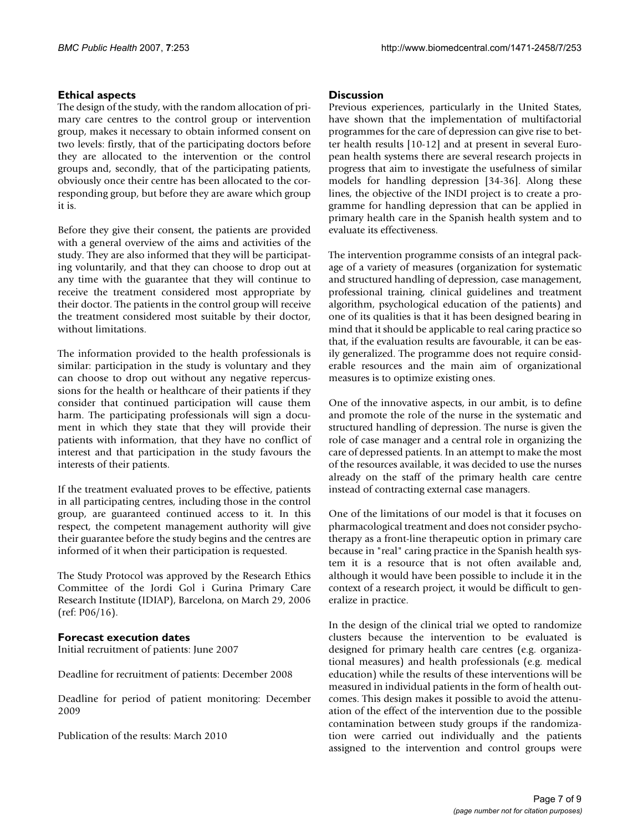### **Ethical aspects**

The design of the study, with the random allocation of primary care centres to the control group or intervention group, makes it necessary to obtain informed consent on two levels: firstly, that of the participating doctors before they are allocated to the intervention or the control groups and, secondly, that of the participating patients, obviously once their centre has been allocated to the corresponding group, but before they are aware which group it is.

Before they give their consent, the patients are provided with a general overview of the aims and activities of the study. They are also informed that they will be participating voluntarily, and that they can choose to drop out at any time with the guarantee that they will continue to receive the treatment considered most appropriate by their doctor. The patients in the control group will receive the treatment considered most suitable by their doctor, without limitations.

The information provided to the health professionals is similar: participation in the study is voluntary and they can choose to drop out without any negative repercussions for the health or healthcare of their patients if they consider that continued participation will cause them harm. The participating professionals will sign a document in which they state that they will provide their patients with information, that they have no conflict of interest and that participation in the study favours the interests of their patients.

If the treatment evaluated proves to be effective, patients in all participating centres, including those in the control group, are guaranteed continued access to it. In this respect, the competent management authority will give their guarantee before the study begins and the centres are informed of it when their participation is requested.

The Study Protocol was approved by the Research Ethics Committee of the Jordi Gol i Gurina Primary Care Research Institute (IDIAP), Barcelona, on March 29, 2006 (ref: P06/16).

#### **Forecast execution dates**

Initial recruitment of patients: June 2007

Deadline for recruitment of patients: December 2008

Deadline for period of patient monitoring: December 2009

Publication of the results: March 2010

#### **Discussion**

Previous experiences, particularly in the United States, have shown that the implementation of multifactorial programmes for the care of depression can give rise to better health results [10-12] and at present in several European health systems there are several research projects in progress that aim to investigate the usefulness of similar models for handling depression [34-36]. Along these lines, the objective of the INDI project is to create a programme for handling depression that can be applied in primary health care in the Spanish health system and to evaluate its effectiveness.

The intervention programme consists of an integral package of a variety of measures (organization for systematic and structured handling of depression, case management, professional training, clinical guidelines and treatment algorithm, psychological education of the patients) and one of its qualities is that it has been designed bearing in mind that it should be applicable to real caring practice so that, if the evaluation results are favourable, it can be easily generalized. The programme does not require considerable resources and the main aim of organizational measures is to optimize existing ones.

One of the innovative aspects, in our ambit, is to define and promote the role of the nurse in the systematic and structured handling of depression. The nurse is given the role of case manager and a central role in organizing the care of depressed patients. In an attempt to make the most of the resources available, it was decided to use the nurses already on the staff of the primary health care centre instead of contracting external case managers.

One of the limitations of our model is that it focuses on pharmacological treatment and does not consider psychotherapy as a front-line therapeutic option in primary care because in "real" caring practice in the Spanish health system it is a resource that is not often available and, although it would have been possible to include it in the context of a research project, it would be difficult to generalize in practice.

In the design of the clinical trial we opted to randomize clusters because the intervention to be evaluated is designed for primary health care centres (e.g. organizational measures) and health professionals (e.g. medical education) while the results of these interventions will be measured in individual patients in the form of health outcomes. This design makes it possible to avoid the attenuation of the effect of the intervention due to the possible contamination between study groups if the randomization were carried out individually and the patients assigned to the intervention and control groups were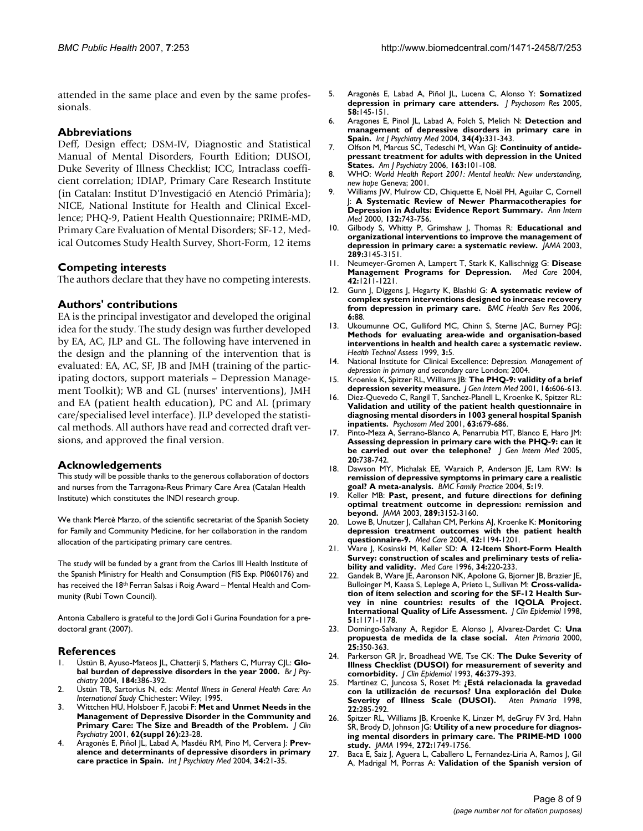attended in the same place and even by the same professionals.

#### **Abbreviations**

Deff, Design effect; DSM-IV, Diagnostic and Statistical Manual of Mental Disorders, Fourth Edition; DUSOI, Duke Severity of Illness Checklist; ICC, Intraclass coefficient correlation; IDIAP, Primary Care Research Institute (in Catalan: Institut D'Investigació en Atenció Primària); NICE, National Institute for Health and Clinical Excellence; PHQ-9, Patient Health Questionnaire; PRIME-MD, Primary Care Evaluation of Mental Disorders; SF-12, Medical Outcomes Study Health Survey, Short-Form, 12 items

#### **Competing interests**

The authors declare that they have no competing interests.

#### **Authors' contributions**

EA is the principal investigator and developed the original idea for the study. The study design was further developed by EA, AC, JLP and GL. The following have intervened in the design and the planning of the intervention that is evaluated: EA, AC, SF, JB and JMH (training of the participating doctors, support materials – Depression Management Toolkit); WB and GL (nurses' interventions), JMH and EA (patient health education), PC and AL (primary care/specialised level interface). JLP developed the statistical methods. All authors have read and corrected draft versions, and approved the final version.

#### **Acknowledgements**

This study will be possible thanks to the generous collaboration of doctors and nurses from the Tarragona-Reus Primary Care Area (Catalan Health Institute) which constitutes the INDI research group.

We thank Mercè Marzo, of the scientific secretariat of the Spanish Society for Family and Community Medicine, for her collaboration in the random allocation of the participating primary care centres.

The study will be funded by a grant from the Carlos III Health Institute of the Spanish Ministry for Health and Consumption (FIS Exp. PI060176) and has received the 18th Ferran Salsas i Roig Award - Mental Health and Community (Rubí Town Council).

Antonia Caballero is grateful to the Jordi Gol i Gurina Foundation for a predoctoral grant (2007).

#### **References**

- 1. Üstün B, Ayuso-Mateos JL, Chatterji S, Mathers C, Murray CJL: **[Glo](http://www.ncbi.nlm.nih.gov/entrez/query.fcgi?cmd=Retrieve&db=PubMed&dopt=Abstract&list_uids=15123501)[bal burden of depressive disorders in the year 2000.](http://www.ncbi.nlm.nih.gov/entrez/query.fcgi?cmd=Retrieve&db=PubMed&dopt=Abstract&list_uids=15123501)** *Br J Psychiatry* 2004, **184:**386-392.
- 2. Üstün TB, Sartorius N, eds: *Mental Illness in General Health Care: An International Study* Chichester: Wiley; 1995.
- 3. Wittchen HU, Holsboer F, Jacobi F: **[Met and Unmet Needs in the](http://www.ncbi.nlm.nih.gov/entrez/query.fcgi?cmd=Retrieve&db=PubMed&dopt=Abstract&list_uids=11775090) [Management of Depressive Disorder in the Community and](http://www.ncbi.nlm.nih.gov/entrez/query.fcgi?cmd=Retrieve&db=PubMed&dopt=Abstract&list_uids=11775090) [Primary Care: The Size and Breadth of the Problem.](http://www.ncbi.nlm.nih.gov/entrez/query.fcgi?cmd=Retrieve&db=PubMed&dopt=Abstract&list_uids=11775090)** *J Clin Psychiatry* 2001, **62(suppl 26):**23-28.
- 4. Aragonès E, Piñol JL, Labad A, Masdéu RM, Pino M, Cervera J: **[Prev](http://www.ncbi.nlm.nih.gov/entrez/query.fcgi?cmd=Retrieve&db=PubMed&dopt=Abstract&list_uids=15242139)[alence and determinants of depressive disorders in primary](http://www.ncbi.nlm.nih.gov/entrez/query.fcgi?cmd=Retrieve&db=PubMed&dopt=Abstract&list_uids=15242139) [care practice in Spain.](http://www.ncbi.nlm.nih.gov/entrez/query.fcgi?cmd=Retrieve&db=PubMed&dopt=Abstract&list_uids=15242139)** *Int J Psychiatry Med* 2004, **34:**21-35.
- 5. Aragonès E, Labad A, Piñol JL, Lucena C, Alonso Y: **[Somatized](http://www.ncbi.nlm.nih.gov/entrez/query.fcgi?cmd=Retrieve&db=PubMed&dopt=Abstract&list_uids=15820842) [depression in primary care attenders.](http://www.ncbi.nlm.nih.gov/entrez/query.fcgi?cmd=Retrieve&db=PubMed&dopt=Abstract&list_uids=15820842)** *J Psychosom Res* 2005, **58:**145-151.
- 6. Aragones E, Pinol JL, Labad A, Folch S, Melich N: **[Detection and](http://www.ncbi.nlm.nih.gov/entrez/query.fcgi?cmd=Retrieve&db=PubMed&dopt=Abstract&list_uids=15825583) [management of depressive disorders in primary care in](http://www.ncbi.nlm.nih.gov/entrez/query.fcgi?cmd=Retrieve&db=PubMed&dopt=Abstract&list_uids=15825583) [Spain.](http://www.ncbi.nlm.nih.gov/entrez/query.fcgi?cmd=Retrieve&db=PubMed&dopt=Abstract&list_uids=15825583)** *Int J Psychiatry Med* 2004, **34(4):**331-343.
- 7. Olfson M, Marcus SC, Tedeschi M, Wan GJ: **[Continuity of antide](http://www.ncbi.nlm.nih.gov/entrez/query.fcgi?cmd=Retrieve&db=PubMed&dopt=Abstract&list_uids=16390896)[pressant treatment for adults with depression in the United](http://www.ncbi.nlm.nih.gov/entrez/query.fcgi?cmd=Retrieve&db=PubMed&dopt=Abstract&list_uids=16390896) [States.](http://www.ncbi.nlm.nih.gov/entrez/query.fcgi?cmd=Retrieve&db=PubMed&dopt=Abstract&list_uids=16390896)** *Am J Psychiatry* 2006, **163:**101-108.
- 8. WHO: *World Health Report 2001: Mental health: New understanding, new hope* Geneva; 2001.
- 9. Williams JW, Mulrow CD, Chiquette E, Noël PH, Aguilar C, Cornell **[A Systematic Review of Newer Pharmacotherapies for](http://www.ncbi.nlm.nih.gov/entrez/query.fcgi?cmd=Retrieve&db=PubMed&dopt=Abstract&list_uids=10787370) [Depression in Adults: Evidence Report Summary.](http://www.ncbi.nlm.nih.gov/entrez/query.fcgi?cmd=Retrieve&db=PubMed&dopt=Abstract&list_uids=10787370)** *Ann Intern Med* 2000, **132:**743-756.
- 10. Gilbody S, Whitty P, Grimshaw J, Thomas R: **[Educational and](http://www.ncbi.nlm.nih.gov/entrez/query.fcgi?cmd=Retrieve&db=PubMed&dopt=Abstract&list_uids=12813120) [organizational interventions to improve the management of](http://www.ncbi.nlm.nih.gov/entrez/query.fcgi?cmd=Retrieve&db=PubMed&dopt=Abstract&list_uids=12813120) [depression in primary care: a systematic review.](http://www.ncbi.nlm.nih.gov/entrez/query.fcgi?cmd=Retrieve&db=PubMed&dopt=Abstract&list_uids=12813120)** *JAMA* 2003, **289:**3145-3151.
- 11. Neumeyer-Gromen A, Lampert T, Stark K, Kallischnigg G: **[Disease](http://www.ncbi.nlm.nih.gov/entrez/query.fcgi?cmd=Retrieve&db=PubMed&dopt=Abstract&list_uids=15550801) [Management Programs for Depression.](http://www.ncbi.nlm.nih.gov/entrez/query.fcgi?cmd=Retrieve&db=PubMed&dopt=Abstract&list_uids=15550801)** *Med Care* 2004, **42:**1211-1221.
- 12. Gunn J, Diggens J, Hegarty K, Blashki G: **[A systematic review of](http://www.ncbi.nlm.nih.gov/entrez/query.fcgi?cmd=Retrieve&db=PubMed&dopt=Abstract&list_uids=16842629) [complex system interventions designed to increase recovery](http://www.ncbi.nlm.nih.gov/entrez/query.fcgi?cmd=Retrieve&db=PubMed&dopt=Abstract&list_uids=16842629) [from depression in primary care.](http://www.ncbi.nlm.nih.gov/entrez/query.fcgi?cmd=Retrieve&db=PubMed&dopt=Abstract&list_uids=16842629)** *BMC Health Serv Res* 2006, **6:**88.
- 13. Ukoumunne OC, Gulliford MC, Chinn S, Sterne JAC, Burney PGJ: **Methods for evaluating area-wide and organisation-based interventions in health and health care: a systematic review.** *Health Technol Assess* 1999, **3:**5.
- 14. National Institute for Clinical Excellence: *Depression. Management of depression in primary and secondary care* London; 2004.
- 15. Kroenke K, Spitzer RL, Williams JB: **[The PHQ-9: validity of a brief](http://www.ncbi.nlm.nih.gov/entrez/query.fcgi?cmd=Retrieve&db=PubMed&dopt=Abstract&list_uids=11556941) [depression severity measure.](http://www.ncbi.nlm.nih.gov/entrez/query.fcgi?cmd=Retrieve&db=PubMed&dopt=Abstract&list_uids=11556941)** *J Gen Intern Med* 2001, **16:**606-613.
- 16. Diez-Quevedo C, Rangil T, Sanchez-Planell L, Kroenke K, Spitzer RL: **Validation and utility of the patient health questionnaire in [diagnosing mental disorders in 1003 general hospital Spanish](http://www.ncbi.nlm.nih.gov/entrez/query.fcgi?cmd=Retrieve&db=PubMed&dopt=Abstract&list_uids=11485122) [inpatients.](http://www.ncbi.nlm.nih.gov/entrez/query.fcgi?cmd=Retrieve&db=PubMed&dopt=Abstract&list_uids=11485122)** *Psychosom Med* 2001, **63:**679-686.
- 17. Pinto-Meza A, Serrano-Blanco A, Penarrubia MT, Blanco E, Haro JM: **[Assessing depression in primary care with the PHQ-9: can it](http://www.ncbi.nlm.nih.gov/entrez/query.fcgi?cmd=Retrieve&db=PubMed&dopt=Abstract&list_uids=16050884) [be carried out over the telephone?](http://www.ncbi.nlm.nih.gov/entrez/query.fcgi?cmd=Retrieve&db=PubMed&dopt=Abstract&list_uids=16050884)** *J Gen Intern Med* 2005, **20:**738-742.
- 18. Dawson MY, Michalak EE, Waraich P, Anderson JE, Lam RW: **[Is](http://www.ncbi.nlm.nih.gov/entrez/query.fcgi?cmd=Retrieve&db=PubMed&dopt=Abstract&list_uids=15353006) [remission of depressive symptoms in primary care a realistic](http://www.ncbi.nlm.nih.gov/entrez/query.fcgi?cmd=Retrieve&db=PubMed&dopt=Abstract&list_uids=15353006) [goal? A meta-analysis.](http://www.ncbi.nlm.nih.gov/entrez/query.fcgi?cmd=Retrieve&db=PubMed&dopt=Abstract&list_uids=15353006)** *BMC Family Practice* 2004, **5:**19.
- 19. Keller MB: **[Past, present, and future directions for defining](http://www.ncbi.nlm.nih.gov/entrez/query.fcgi?cmd=Retrieve&db=PubMed&dopt=Abstract&list_uids=12813121) [optimal treatment outcome in depression: remission and](http://www.ncbi.nlm.nih.gov/entrez/query.fcgi?cmd=Retrieve&db=PubMed&dopt=Abstract&list_uids=12813121) [beyond.](http://www.ncbi.nlm.nih.gov/entrez/query.fcgi?cmd=Retrieve&db=PubMed&dopt=Abstract&list_uids=12813121)** *JAMA* 2003, **289:**3152-3160.
- 20. Lowe B, Unutzer J, Callahan CM, Perkins AJ, Kroenke K: **[Monitoring](http://www.ncbi.nlm.nih.gov/entrez/query.fcgi?cmd=Retrieve&db=PubMed&dopt=Abstract&list_uids=15550799) [depression treatment outcomes with the patient health](http://www.ncbi.nlm.nih.gov/entrez/query.fcgi?cmd=Retrieve&db=PubMed&dopt=Abstract&list_uids=15550799) [questionnaire-9.](http://www.ncbi.nlm.nih.gov/entrez/query.fcgi?cmd=Retrieve&db=PubMed&dopt=Abstract&list_uids=15550799)** *Med Care* 2004, **42:**1194-1201.
- 21. Ware J, Kosinski M, Keller SD: **[A 12-Item Short-Form Health](http://www.ncbi.nlm.nih.gov/entrez/query.fcgi?cmd=Retrieve&db=PubMed&dopt=Abstract&list_uids=8628042) [Survey: construction of scales and preliminary tests of relia](http://www.ncbi.nlm.nih.gov/entrez/query.fcgi?cmd=Retrieve&db=PubMed&dopt=Abstract&list_uids=8628042)[bility and validity.](http://www.ncbi.nlm.nih.gov/entrez/query.fcgi?cmd=Retrieve&db=PubMed&dopt=Abstract&list_uids=8628042)** *Med Care* 1996, **34:**220-233.
- 22. Gandek B, Ware JE, Aaronson NK, Apolone G, Bjorner JB, Brazier JE, Bulloinger M, Kaasa S, Leplege A, Prieto L, Sullivan M: **[Cross-valida](http://www.ncbi.nlm.nih.gov/entrez/query.fcgi?cmd=Retrieve&db=PubMed&dopt=Abstract&list_uids=9817135)tion of ítem selection and scoring for the SF-12 Health Sur[vey in nine countries: results of the IQOLA Project.](http://www.ncbi.nlm.nih.gov/entrez/query.fcgi?cmd=Retrieve&db=PubMed&dopt=Abstract&list_uids=9817135) [International Quality of Life Assessment.](http://www.ncbi.nlm.nih.gov/entrez/query.fcgi?cmd=Retrieve&db=PubMed&dopt=Abstract&list_uids=9817135)** *J Clin Epidemiol* 1998, **51:**1171-1178.
- 23. Domingo-Salvany A, Regidor E, Alonso J, Alvarez-Dardet C: **[Una](http://www.ncbi.nlm.nih.gov/entrez/query.fcgi?cmd=Retrieve&db=PubMed&dopt=Abstract&list_uids=10905823) [propuesta de medida de la clase social.](http://www.ncbi.nlm.nih.gov/entrez/query.fcgi?cmd=Retrieve&db=PubMed&dopt=Abstract&list_uids=10905823)** *Aten Primaria* 2000, **25:**350-363.
- 24. Parkerson GR Jr, Broadhead WE, Tse CK: **[The Duke Severity of](http://www.ncbi.nlm.nih.gov/entrez/query.fcgi?cmd=Retrieve&db=PubMed&dopt=Abstract&list_uids=8483003) [Illness Checklist \(DUSOI\) for measurement of severity and](http://www.ncbi.nlm.nih.gov/entrez/query.fcgi?cmd=Retrieve&db=PubMed&dopt=Abstract&list_uids=8483003) [comorbidity.](http://www.ncbi.nlm.nih.gov/entrez/query.fcgi?cmd=Retrieve&db=PubMed&dopt=Abstract&list_uids=8483003)** *J Clin Epidemiol* 1993, **46:**379-393.
- 25. Martínez C, Juncosa S, Roset M: **[¿Está relacionada la gravedad](http://www.ncbi.nlm.nih.gov/entrez/query.fcgi?cmd=Retrieve&db=PubMed&dopt=Abstract&list_uids=9835134) [con la utilización de recursos? Una exploración del Duke](http://www.ncbi.nlm.nih.gov/entrez/query.fcgi?cmd=Retrieve&db=PubMed&dopt=Abstract&list_uids=9835134) [Severity of Illness Scale \(DUSOI\).](http://www.ncbi.nlm.nih.gov/entrez/query.fcgi?cmd=Retrieve&db=PubMed&dopt=Abstract&list_uids=9835134)** *Aten Primaria* 1998, **22:**285-292.
- 26. Spitzer RL, Williams JB, Kroenke K, Linzer M, deGruy FV 3rd, Hahn SR, Brody D, Johnson JG: **[Utility of a new procedure for diagnos](http://www.ncbi.nlm.nih.gov/entrez/query.fcgi?cmd=Retrieve&db=PubMed&dopt=Abstract&list_uids=7966923)[ing mental disorders in primary care. The PRIME-MD 1000](http://www.ncbi.nlm.nih.gov/entrez/query.fcgi?cmd=Retrieve&db=PubMed&dopt=Abstract&list_uids=7966923) [study.](http://www.ncbi.nlm.nih.gov/entrez/query.fcgi?cmd=Retrieve&db=PubMed&dopt=Abstract&list_uids=7966923)** *JAMA* 1994, **272:**1749-1756.
- 27. Baca E, Saiz J, Aguera L, Caballero L, Fernandez-Liria A, Ramos J, Gil A, Madrigal M, Porras A: **[Validation of the Spanish version of](http://www.ncbi.nlm.nih.gov/entrez/query.fcgi?cmd=Retrieve&db=PubMed&dopt=Abstract&list_uids=10611561)**